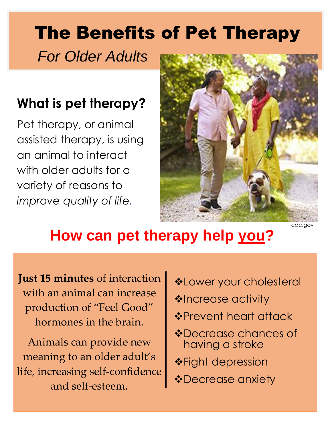# The Benefits of Pet Therapy

*For Older Adults*

#### **What is pet therapy?**

Pet therapy, or animal assisted therapy, is using an animal to interact with older adults for a variety of reasons to *improve quality of life.*



## **How can pet therapy help you?**

**Just 15 minutes** of interaction with an animal can increase production of "Feel Good" hormones in the brain.

Animals can provide new meaning to an older adult's life, increasing self-confidence and self-esteem.

- ❖Lower your cholesterol
- ❖Increase activity
- ❖Prevent heart attack
- ❖Decrease chances of having a stroke
- ❖Fight depression
- ❖Decrease anxiety